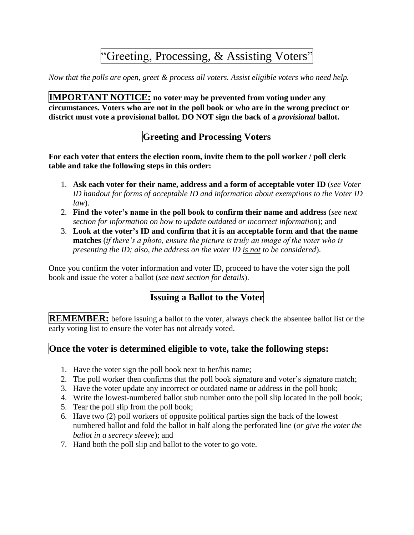# "Greeting, Processing, & Assisting Voters"

*Now that the polls are open, greet & process all voters. Assist eligible voters who need help.*

**IMPORTANT NOTICE: no voter may be prevented from voting under any circumstances. Voters who are not in the poll book or who are in the wrong precinct or district must vote a provisional ballot. DO NOT sign the back of a** *provisional* **ballot.**

# **Greeting and Processing Voters**

**For each voter that enters the election room, invite them to the poll worker / poll clerk table and take the following steps in this order:**

- 1. **Ask each voter for their name, address and a form of acceptable voter ID** (*see Voter ID handout for forms of acceptable ID and information about exemptions to the Voter ID law*).
- 2. **Find the voter's name in the poll book to confirm their name and address** (*see next section for information on how to update outdated or incorrect information*); and
- 3. **Look at the voter's ID and confirm that it is an acceptable form and that the name matches** (*if there's a photo, ensure the picture is truly an image of the voter who is presenting the ID; also, the address on the voter ID is not to be considered*).

Once you confirm the voter information and voter ID, proceed to have the voter sign the poll book and issue the voter a ballot (*see next section for details*).

## **Issuing a Ballot to the Voter**

**REMEMBER:** before issuing a ballot to the voter, always check the absentee ballot list or the early voting list to ensure the voter has not already voted.

#### **Once the voter is determined eligible to vote, take the following steps:**

- 1. Have the voter sign the poll book next to her/his name;
- 2. The poll worker then confirms that the poll book signature and voter's signature match;
- 3. Have the voter update any incorrect or outdated name or address in the poll book;
- 4. Write the lowest-numbered ballot stub number onto the poll slip located in the poll book;
- 5. Tear the poll slip from the poll book;
- 6. Have two (2) poll workers of opposite political parties sign the back of the lowest numbered ballot and fold the ballot in half along the perforated line (*or give the voter the ballot in a secrecy sleeve*); and
- 7. Hand both the poll slip and ballot to the voter to go vote.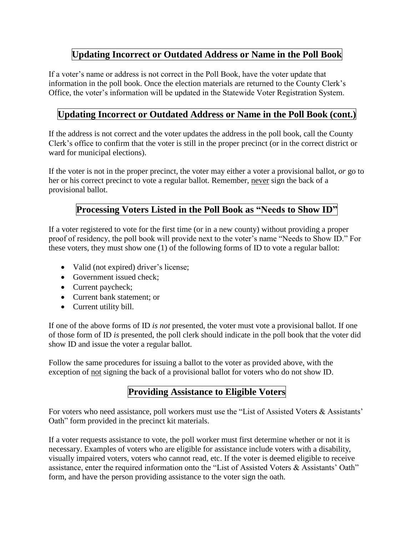### **Updating Incorrect or Outdated Address or Name in the Poll Book**

If a voter's name or address is not correct in the Poll Book, have the voter update that information in the poll book. Once the election materials are returned to the County Clerk's Office, the voter's information will be updated in the Statewide Voter Registration System.

### **Updating Incorrect or Outdated Address or Name in the Poll Book (cont.)**

If the address is not correct and the voter updates the address in the poll book, call the County Clerk's office to confirm that the voter is still in the proper precinct (or in the correct district or ward for municipal elections).

If the voter is not in the proper precinct, the voter may either a voter a provisional ballot, *or* go to her or his correct precinct to vote a regular ballot. Remember, never sign the back of a provisional ballot.

#### **Processing Voters Listed in the Poll Book as "Needs to Show ID"**

If a voter registered to vote for the first time (or in a new county) without providing a proper proof of residency, the poll book will provide next to the voter's name "Needs to Show ID." For these voters, they must show one (1) of the following forms of ID to vote a regular ballot:

- Valid (not expired) driver's license;
- Government issued check;
- Current paycheck;
- Current bank statement; or
- Current utility bill.

If one of the above forms of ID *is not* presented, the voter must vote a provisional ballot. If one of those form of ID *is* presented, the poll clerk should indicate in the poll book that the voter did show ID and issue the voter a regular ballot.

Follow the same procedures for issuing a ballot to the voter as provided above, with the exception of not signing the back of a provisional ballot for voters who do not show ID.

#### **Providing Assistance to Eligible Voters**

For voters who need assistance, poll workers must use the "List of Assisted Voters & Assistants' Oath" form provided in the precinct kit materials.

If a voter requests assistance to vote, the poll worker must first determine whether or not it is necessary. Examples of voters who are eligible for assistance include voters with a disability, visually impaired voters, voters who cannot read, etc. If the voter is deemed eligible to receive assistance, enter the required information onto the "List of Assisted Voters & Assistants' Oath" form, and have the person providing assistance to the voter sign the oath.